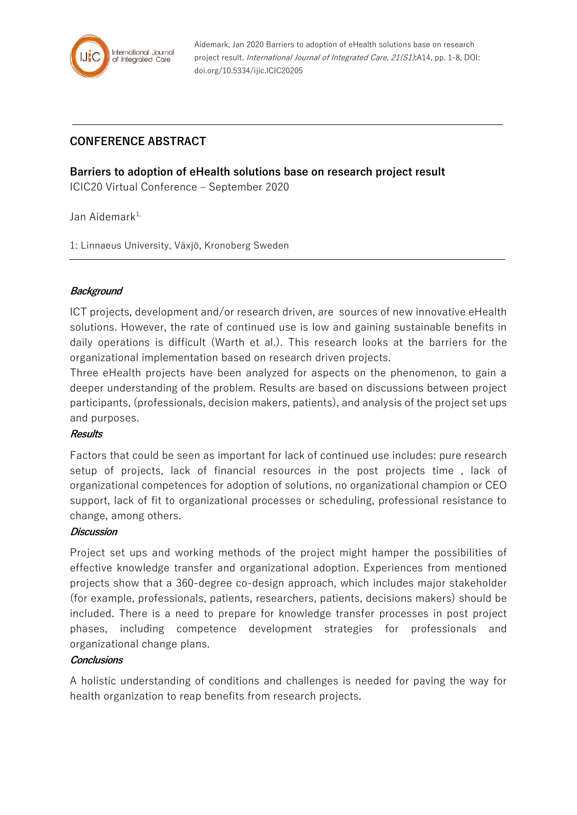

Aidemark, Jan 2020 Barriers to adoption of eHealth solutions base on research project result. International Journal of Integrated Care, 21(S1):A14, pp. 1-8, DOI: doi.org/10.5334/ijic.ICIC20205

# **CONFERENCE ABSTRACT**

### **Barriers to adoption of eHealth solutions base on research project result**

ICIC20 Virtual Conference – September 2020

Jan Aidemark<sup>1,</sup>

1: Linnaeus University, Växjö, Kronoberg Sweden

#### **Background**

ICT projects, development and/or research driven, are sources of new innovative eHealth solutions. However, the rate of continued use is low and gaining sustainable benefits in daily operations is difficult (Warth et al.). This research looks at the barriers for the organizational implementation based on research driven projects.

Three eHealth projects have been analyzed for aspects on the phenomenon, to gain a deeper understanding of the problem. Results are based on discussions between project participants, (professionals, decision makers, patients), and analysis of the project set ups and purposes.

#### **Results**

Factors that could be seen as important for lack of continued use includes: pure research setup of projects, lack of financial resources in the post projects time , lack of organizational competences for adoption of solutions, no organizational champion or CEO support, lack of fit to organizational processes or scheduling, professional resistance to change, among others.

#### **Discussion**

Project set ups and working methods of the project might hamper the possibilities of effective knowledge transfer and organizational adoption. Experiences from mentioned projects show that a 360-degree co-design approach, which includes major stakeholder (for example, professionals, patients, researchers, patients, decisions makers) should be included. There is a need to prepare for knowledge transfer processes in post project phases, including competence development strategies for professionals and organizational change plans.

#### **Conclusions**

A holistic understanding of conditions and challenges is needed for paving the way for health organization to reap benefits from research projects.